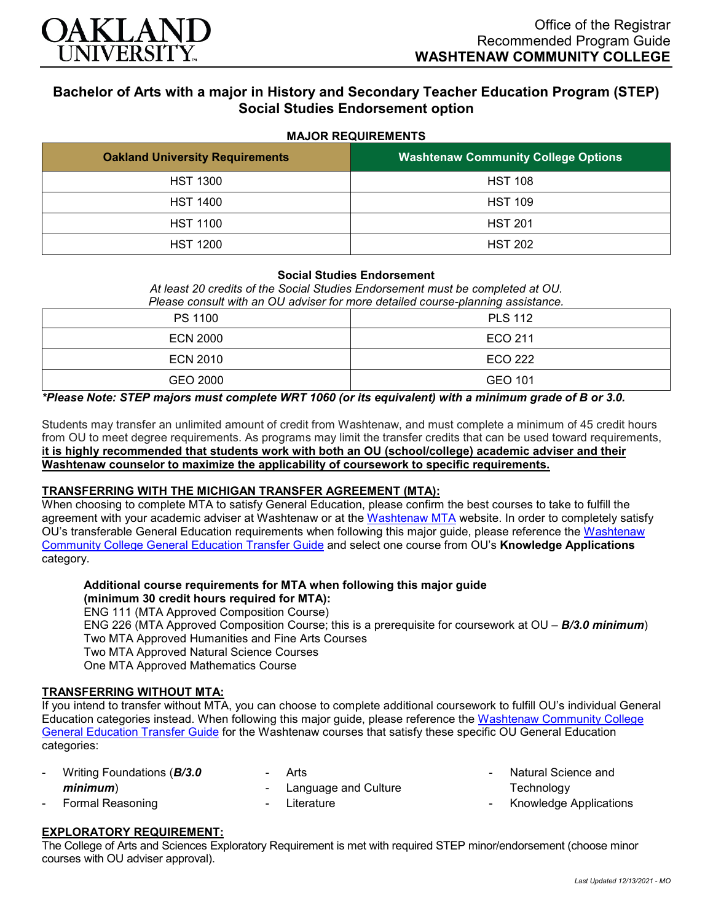

# **Bachelor of Arts with a major in History and Secondary Teacher Education Program (STEP) Social Studies Endorsement option**

**MAJOR REQUIREMENTS**

| <b>Oakland University Requirements</b> | <b>Washtenaw Community College Options</b> |  |  |
|----------------------------------------|--------------------------------------------|--|--|
| <b>HST 1300</b>                        | <b>HST 108</b>                             |  |  |
| <b>HST 1400</b>                        | <b>HST 109</b>                             |  |  |
| <b>HST 1100</b>                        | <b>HST 201</b>                             |  |  |
| <b>HST 1200</b>                        | <b>HST 202</b>                             |  |  |

### **Social Studies Endorsement**

*At least 20 credits of the Social Studies Endorsement must be completed at OU. Please consult with an OU adviser for more detailed course-planning assistance.*

| PS 1100         | <b>PLS 112</b> |
|-----------------|----------------|
| <b>ECN 2000</b> | ECO 211        |
| <b>ECN 2010</b> | <b>ECO 222</b> |
| GEO 2000        | GEO 101        |

*\*Please Note: STEP majors must complete WRT 1060 (or its equivalent) with a minimum grade of B or 3.0.*

Students may transfer an unlimited amount of credit from Washtenaw, and must complete a minimum of 45 credit hours from OU to meet degree requirements. As programs may limit the transfer credits that can be used toward requirements, **it is highly recommended that students work with both an OU (school/college) academic adviser and their Washtenaw counselor to maximize the applicability of coursework to specific requirements.**

### **TRANSFERRING WITH THE MICHIGAN TRANSFER AGREEMENT (MTA):**

When choosing to complete MTA to satisfy General Education, please confirm the best courses to take to fulfill the agreement with your academic adviser at Washtenaw or at the [Washtenaw MTA](https://www.wccnet.edu/learn/transfer-wcc-credits/mta.php) website. In order to completely satisfy OU's transferable General Education requirements when following this major guide, please reference the [Washtenaw](https://www.oakland.edu/Assets/Oakland/program-guides/washtenaw-community-college/university-general-education-requirements/Washtenaw%20Gen%20Ed.pdf)  [Community College General Education Transfer Guide](https://www.oakland.edu/Assets/Oakland/program-guides/washtenaw-community-college/university-general-education-requirements/Washtenaw%20Gen%20Ed.pdf) and select one course from OU's **Knowledge Applications** category.

## **Additional course requirements for MTA when following this major guide (minimum 30 credit hours required for MTA):**

ENG 111 (MTA Approved Composition Course) ENG 226 (MTA Approved Composition Course; this is a prerequisite for coursework at OU – *B/3.0 minimum*) Two MTA Approved Humanities and Fine Arts Courses Two MTA Approved Natural Science Courses One MTA Approved Mathematics Course

### **TRANSFERRING WITHOUT MTA:**

If you intend to transfer without MTA, you can choose to complete additional coursework to fulfill OU's individual General Education categories instead. When following this major guide, please reference the [Washtenaw Community College](https://www.oakland.edu/Assets/Oakland/program-guides/washtenaw-community-college/university-general-education-requirements/Washtenaw%20Gen%20Ed.pdf)  [General Education Transfer Guide](https://www.oakland.edu/Assets/Oakland/program-guides/washtenaw-community-college/university-general-education-requirements/Washtenaw%20Gen%20Ed.pdf) for the Washtenaw courses that satisfy these specific OU General Education categories:

| - Writing Foundations (B/3.0 | - Arts                 |
|------------------------------|------------------------|
| minimum)                     | - Language and Culture |
| - Formal Reasoning           | - Literature           |

- Natural Science and **Technology**
- Knowledge Applications

### **EXPLORATORY REQUIREMENT:**

The College of Arts and Sciences Exploratory Requirement is met with required STEP minor/endorsement (choose minor courses with OU adviser approval).